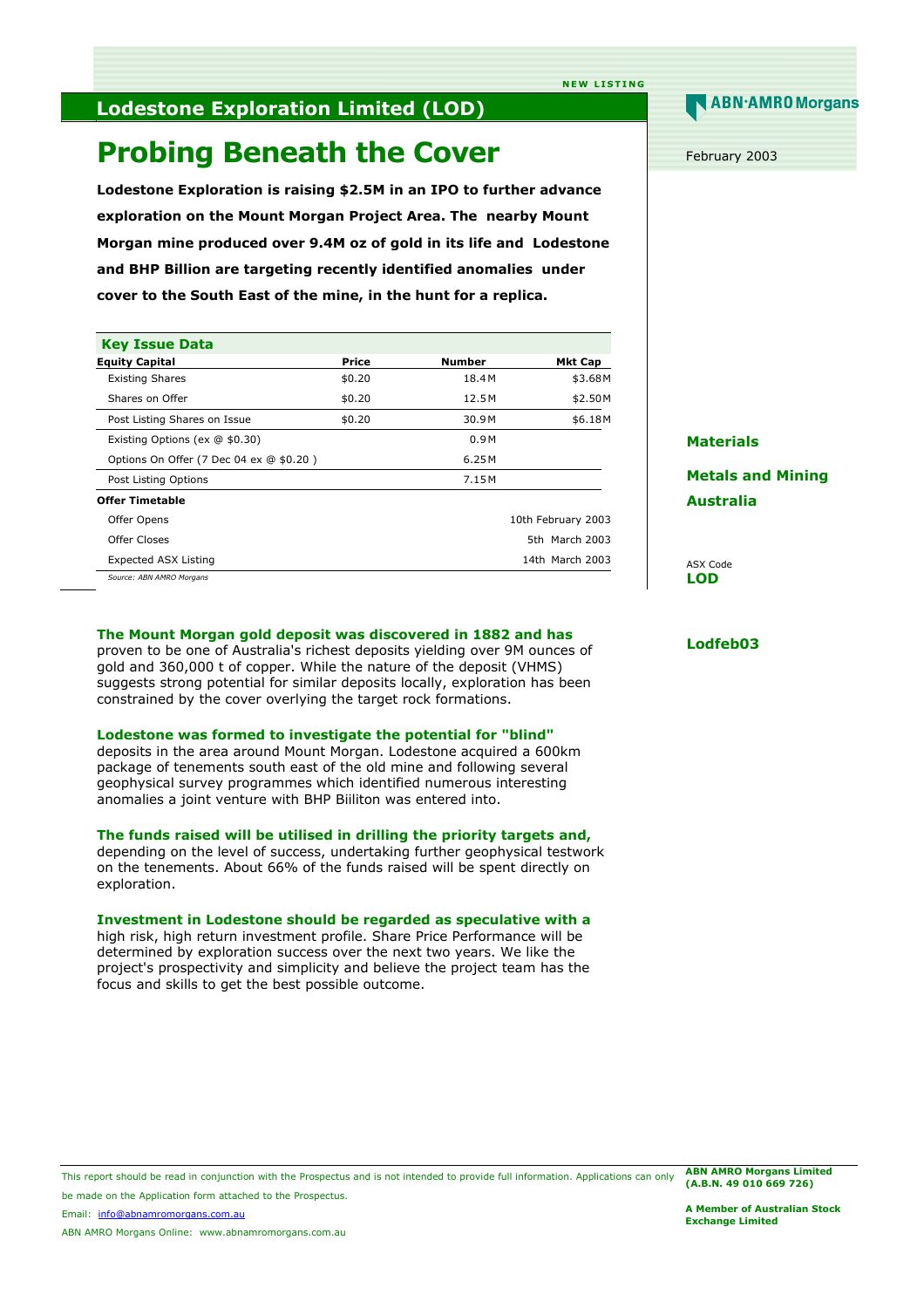## **NEW LISTING**

# **Lodestone Exploration Limited (LOD)**

# **Probing Beneath the Cover**

**Lodestone Exploration is raising \$2.5M in an IPO to further advance exploration on the Mount Morgan Project Area. The nearby Mount Morgan mine produced over 9.4M oz of gold in its life and Lodestone and BHP Billion are targeting recently identified anomalies under cover to the South East of the mine, in the hunt for a replica.**

| <b>Key Issue Data</b>                   |        |               |                    |
|-----------------------------------------|--------|---------------|--------------------|
| <b>Equity Capital</b>                   | Price  | <b>Number</b> | Mkt Cap            |
| <b>Existing Shares</b>                  | \$0.20 | 18.4M         | \$3.68M            |
| Shares on Offer                         | \$0.20 | 12.5 M        | \$2.50M            |
| Post Listing Shares on Issue            | \$0.20 | 30.9M         | \$6.18M            |
| Existing Options (ex @ \$0.30)          |        | 0.9M          |                    |
| Options On Offer (7 Dec 04 ex @ \$0.20) |        | 6.25 M        |                    |
| Post Listing Options                    |        | 7.15 M        |                    |
| <b>Offer Timetable</b>                  |        |               |                    |
| Offer Opens                             |        |               | 10th February 2003 |
| Offer Closes                            |        |               | 5th March 2003     |
| Expected ASX Listing                    |        |               | 14th March 2003    |

*Source: ABN AMRO Morgans* 

### **The Mount Morgan gold deposit was discovered in 1882 and has**

proven to be one of Australia's richest deposits yielding over 9M ounces of gold and 360,000 t of copper. While the nature of the deposit (VHMS) suggests strong potential for similar deposits locally, exploration has been constrained by the cover overlying the target rock formations.

#### **Lodestone was formed to investigate the potential for "blind"**

deposits in the area around Mount Morgan. Lodestone acquired a 600km package of tenements south east of the old mine and following several geophysical survey programmes which identified numerous interesting anomalies a joint venture with BHP Biiliton was entered into.

### **The funds raised will be utilised in drilling the priority targets and,**

depending on the level of success, undertaking further geophysical testwork on the tenements. About 66% of the funds raised will be spent directly on exploration.

### **Investment in Lodestone should be regarded as speculative with a**

high risk, high return investment profile. Share Price Performance will be determined by exploration success over the next two years. We like the project's prospectivity and simplicity and believe the project team has the focus and skills to get the best possible outcome.

# **ABN·AMRO** Morgans

February 2003

## **Materials**

**Metals and Mining Australia** 

ASX Code **LOD** 

## **Lodfeb03**

This report should be read in conjunction with the Prospectus and is not intended to provide full information. Applications can only be made on the Application form attached to the Prospectus. **ABN AMRO Morgans Limited (A.B.N. 49 010 669 726)** 

Email: info@abnamromorgans.com.au

ABN AMRO Morgans Online: www.abnamromorgans.com.au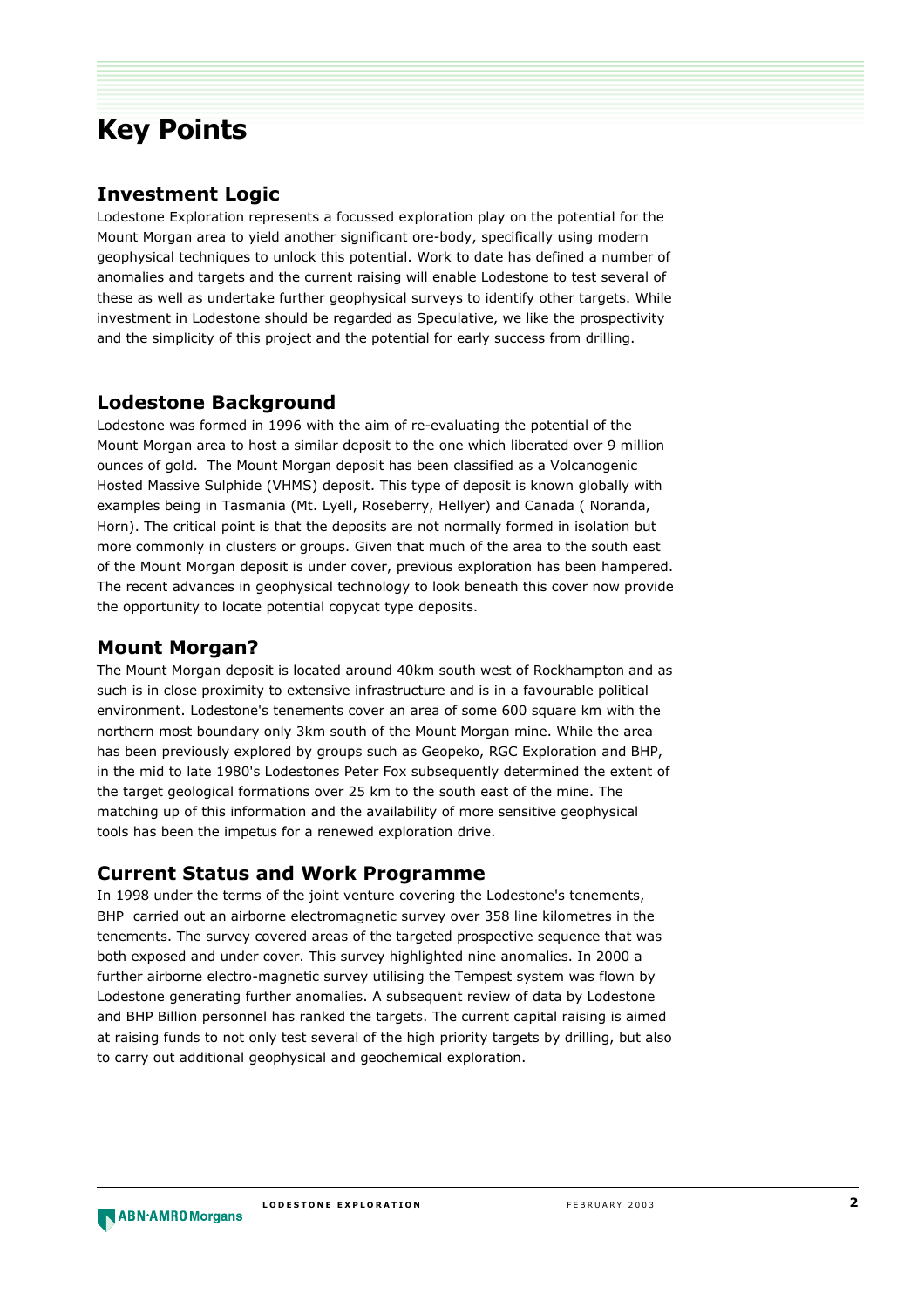# **Key Points**

## **Investment Logic**

Lodestone Exploration represents a focussed exploration play on the potential for the Mount Morgan area to yield another significant ore-body, specifically using modern geophysical techniques to unlock this potential. Work to date has defined a number of anomalies and targets and the current raising will enable Lodestone to test several of these as well as undertake further geophysical surveys to identify other targets. While investment in Lodestone should be regarded as Speculative, we like the prospectivity and the simplicity of this project and the potential for early success from drilling.

# **Lodestone Background**

Lodestone was formed in 1996 with the aim of re-evaluating the potential of the Mount Morgan area to host a similar deposit to the one which liberated over 9 million ounces of gold. The Mount Morgan deposit has been classified as a Volcanogenic Hosted Massive Sulphide (VHMS) deposit. This type of deposit is known globally with examples being in Tasmania (Mt. Lyell, Roseberry, Hellyer) and Canada ( Noranda, Horn). The critical point is that the deposits are not normally formed in isolation but more commonly in clusters or groups. Given that much of the area to the south east of the Mount Morgan deposit is under cover, previous exploration has been hampered. The recent advances in geophysical technology to look beneath this cover now provide the opportunity to locate potential copycat type deposits.

# **Mount Morgan?**

The Mount Morgan deposit is located around 40km south west of Rockhampton and as such is in close proximity to extensive infrastructure and is in a favourable political environment. Lodestone's tenements cover an area of some 600 square km with the northern most boundary only 3km south of the Mount Morgan mine. While the area has been previously explored by groups such as Geopeko, RGC Exploration and BHP, in the mid to late 1980's Lodestones Peter Fox subsequently determined the extent of the target geological formations over 25 km to the south east of the mine. The matching up of this information and the availability of more sensitive geophysical tools has been the impetus for a renewed exploration drive.

# **Current Status and Work Programme**

In 1998 under the terms of the joint venture covering the Lodestone's tenements, BHP carried out an airborne electromagnetic survey over 358 line kilometres in the tenements. The survey covered areas of the targeted prospective sequence that was both exposed and under cover. This survey highlighted nine anomalies. In 2000 a further airborne electro-magnetic survey utilising the Tempest system was flown by Lodestone generating further anomalies. A subsequent review of data by Lodestone and BHP Billion personnel has ranked the targets. The current capital raising is aimed at raising funds to not only test several of the high priority targets by drilling, but also to carry out additional geophysical and geochemical exploration.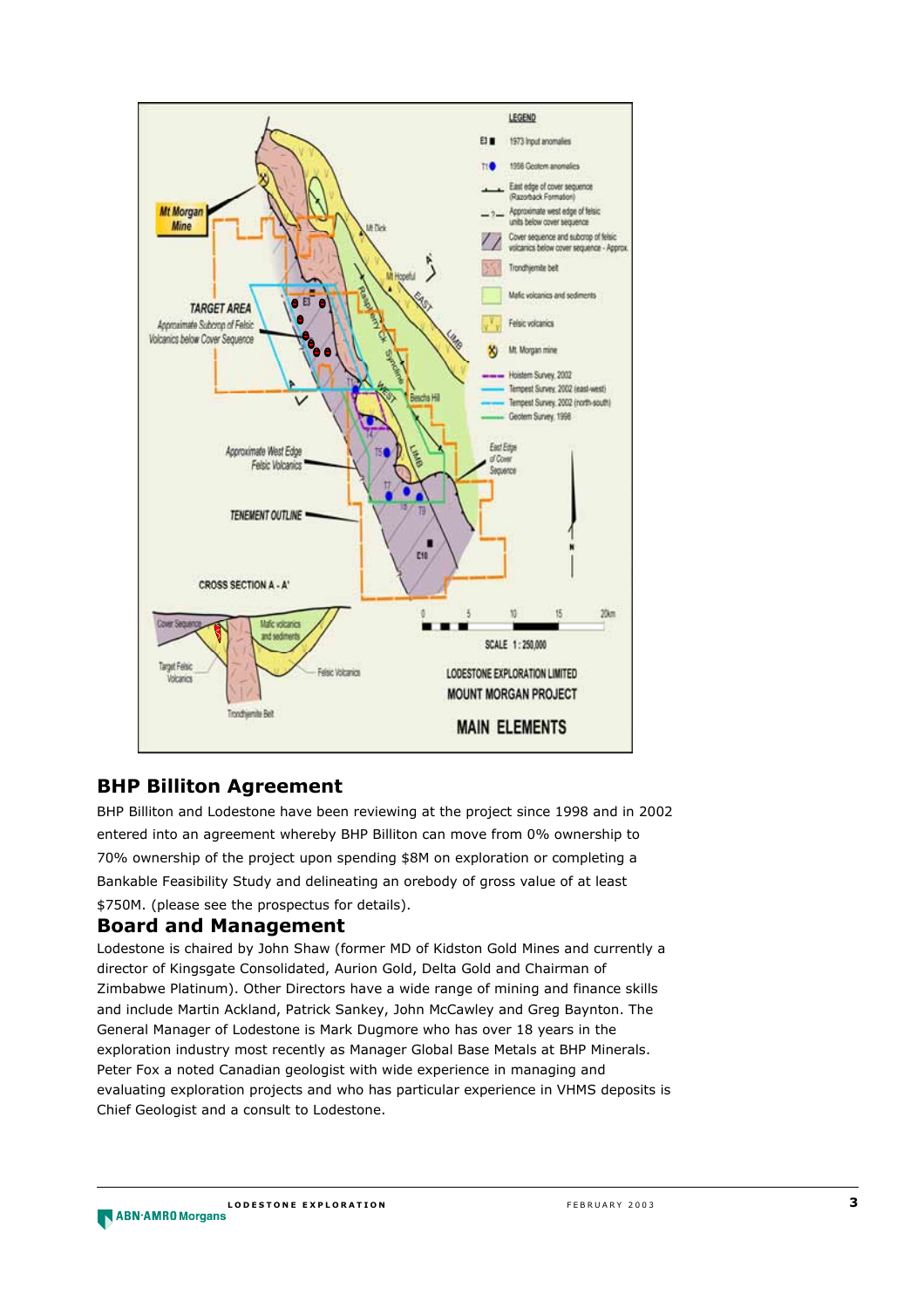

# **BHP Billiton Agreement**

BHP Billiton and Lodestone have been reviewing at the project since 1998 and in 2002 entered into an agreement whereby BHP Billiton can move from 0% ownership to 70% ownership of the project upon spending \$8M on exploration or completing a Bankable Feasibility Study and delineating an orebody of gross value of at least \$750M. (please see the prospectus for details).

# **Board and Management**

Lodestone is chaired by John Shaw (former MD of Kidston Gold Mines and currently a director of Kingsgate Consolidated, Aurion Gold, Delta Gold and Chairman of Zimbabwe Platinum). Other Directors have a wide range of mining and finance skills and include Martin Ackland, Patrick Sankey, John McCawley and Greg Baynton. The General Manager of Lodestone is Mark Dugmore who has over 18 years in the exploration industry most recently as Manager Global Base Metals at BHP Minerals. Peter Fox a noted Canadian geologist with wide experience in managing and evaluating exploration projects and who has particular experience in VHMS deposits is Chief Geologist and a consult to Lodestone.